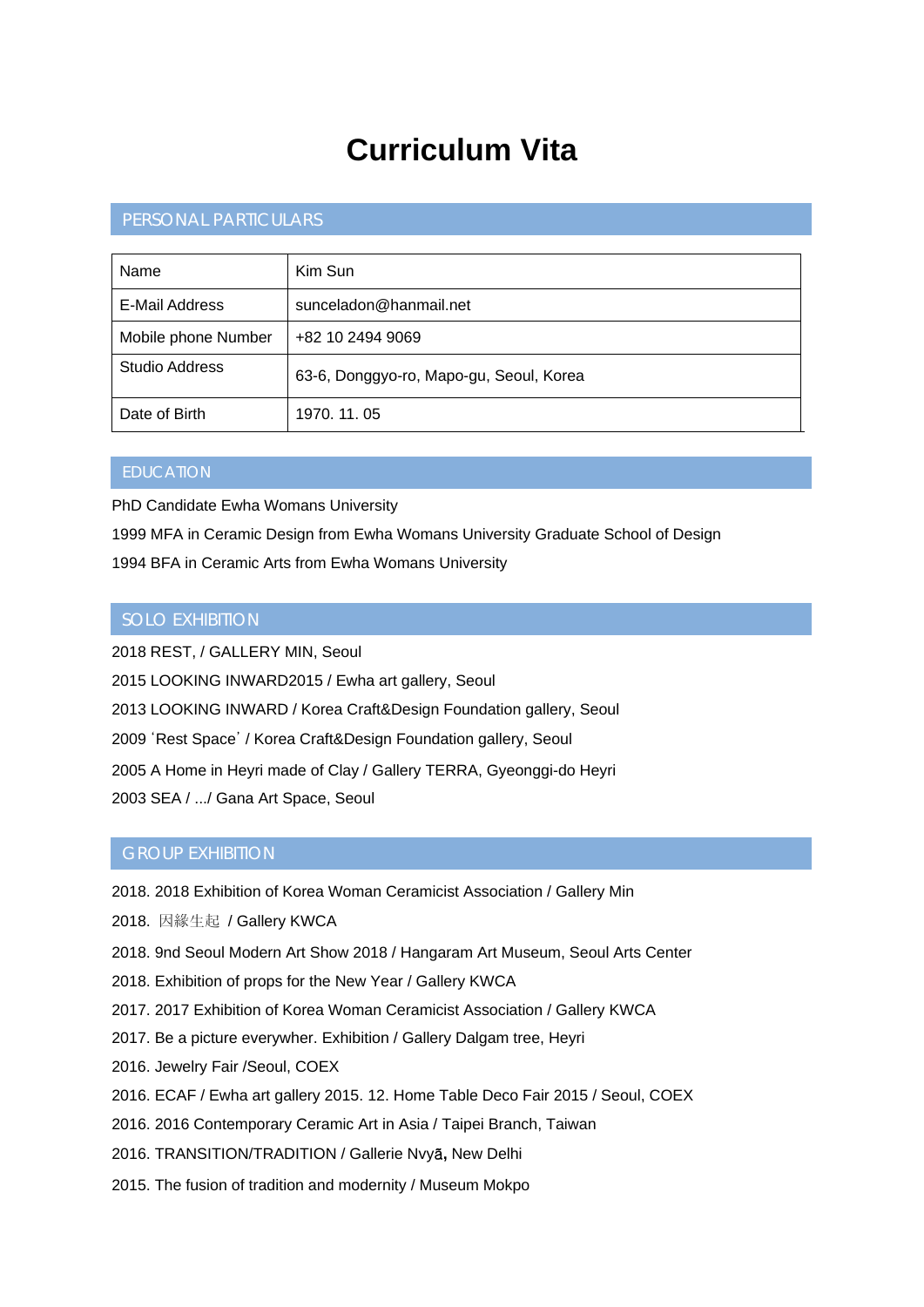# **Curriculum Vita**

# PERSONAL PARTICULARS

| Name                  | Kim Sun                                 |
|-----------------------|-----------------------------------------|
| E-Mail Address        | sunceladon@hanmail.net                  |
| Mobile phone Number   | +82 10 2494 9069                        |
| <b>Studio Address</b> | 63-6, Donggyo-ro, Mapo-gu, Seoul, Korea |
| Date of Birth         | 1970, 11, 05                            |

PhD Candidate Ewha Womans University

1999 MFA in Ceramic Design from Ewha Womans University Graduate School of Design

1994 BFA in Ceramic Arts from Ewha Womans University

### SOLO EXHIBITION

2018 REST, / GALLERY MIN, Seoul 2015 LOOKING INWARD2015 / Ewha art gallery, Seoul 2013 LOOKING INWARD / Korea Craft&Design Foundation gallery, Seoul 2009 'Rest Space' / Korea Craft&Design Foundation gallery, Seoul 2005 A Home in Heyri made of Clay / Gallery TERRA, Gyeonggi-do Heyri 2003 SEA / .../ Gana Art Space, Seoul

#### GROUP EXHIBITION

- 2018. 2018 Exhibition of Korea Woman Ceramicist Association / Gallery Min
- 2018. 因緣生起 / Gallery KWCA
- 2018. 9nd Seoul Modern Art Show 2018 / Hangaram Art Museum, Seoul Arts Center
- 2018. Exhibition of props for the New Year / Gallery KWCA
- 2017. 2017 Exhibition of Korea Woman Ceramicist Association / Gallery KWCA
- 2017. Be a picture everywher. Exhibition / Gallery Dalgam tree, Heyri
- 2016. Jewelry Fair /Seoul, COEX
- 2016. ECAF / Ewha art gallery 2015. 12. Home Table Deco Fair 2015 / Seoul, COEX
- 2016. 2016 Contemporary Ceramic Art in Asia / Taipei Branch, Taiwan
- 2016. TRANSITION/TRADITION / Gallerie Nvyã**,** New Delhi
- 2015. The fusion of tradition and modernity / Museum Mokpo